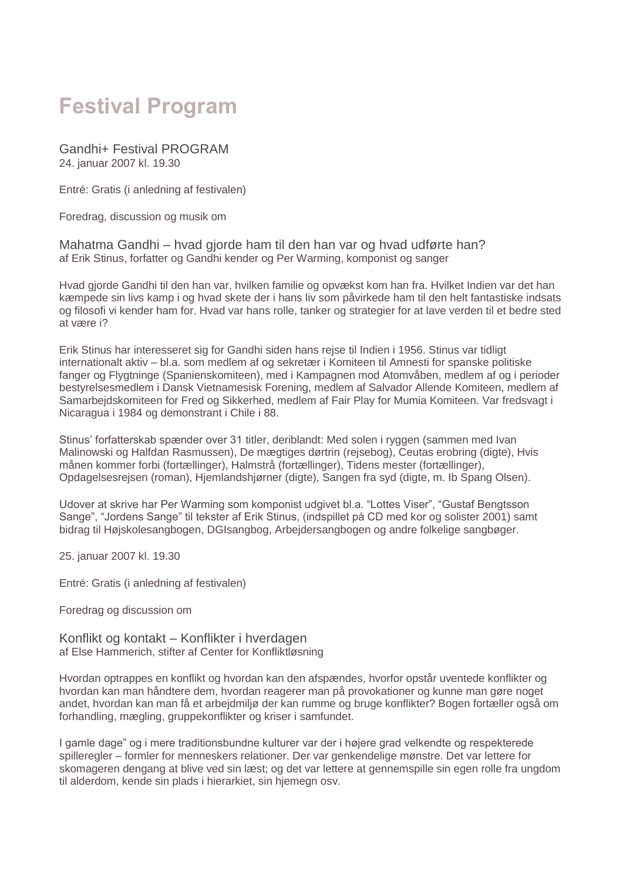# **Festival Program**

Gandhi+ Festival PROGRAM 24. januar 2007 kl. 19.30

Entré: Gratis (i anledning af festivalen)

Foredrag, discussion og musik om

Mahatma Gandhi – hvad gjorde ham til den han var og hvad udførte han? af Erik Stinus, forfatter og Gandhi kender og Per Warming, komponist og sanger

Hvad gjorde Gandhi til den han var, hvilken familie og opvækst kom han fra. Hvilket Indien var det han kæmpede sin livs kamp i og hvad skete der i hans liv som påvirkede ham til den helt fantastiske indsats og filosofi vi kender ham for. Hvad var hans rolle, tanker og strategier for at lave verden til et bedre sted at være i?

Erik Stinus har interesseret sig for Gandhi siden hans rejse til Indien i 1956. Stinus var tidligt internationalt aktiv – bl.a. som medlem af og sekretær i Komiteen til Amnesti for spanske politiske fanger og Flygtninge (Spanienskomiteen), med i Kampagnen mod Atomvåben, medlem af og i perioder bestyrelsesmedlem i Dansk Vietnamesisk Forening, medlem af Salvador Allende Komiteen, medlem af Samarbejdskomiteen for Fred og Sikkerhed, medlem af Fair Play for Mumia Komiteen. Var fredsvagt i Nicaragua i 1984 og demonstrant i Chile i 88.

Stinus' forfatterskab spænder over 31 titler, deriblandt: Med solen i ryggen (sammen med Ivan Malinowski og Halfdan Rasmussen), De mægtiges dørtrin (rejsebog), Ceutas erobring (digte), Hvis månen kommer forbi (fortællinger), Halmstrå (fortællinger), Tidens mester (fortællinger), Opdagelsesrejsen (roman), Hjemlandshjørner (digte), Sangen fra syd (digte, m. Ib Spang Olsen).

Udover at skrive har Per Warming som komponist udgivet bl.a. "Lottes Viser", "Gustaf Bengtsson Sange", "Jordens Sange" til tekster af Erik Stinus, (indspillet på CD med kor og solister 2001) samt bidrag til Højskolesangbogen, DGIsangbog, Arbejdersangbogen og andre folkelige sangbøger.

25. januar 2007 kl. 19.30

Entré: Gratis (i anledning af festivalen)

Foredrag og discussion om

Konflikt og kontakt – Konflikter i hverdagen af Else Hammerich, stifter af Center for Konfliktløsning

Hvordan optrappes en konflikt og hvordan kan den afspændes, hvorfor opstår uventede konflikter og hvordan kan man håndtere dem, hvordan reagerer man på provokationer og kunne man gøre noget andet, hvordan kan man få et arbejdmiljø der kan rumme og bruge konflikter? Bogen fortæller også om forhandling, mægling, gruppekonflikter og kriser i samfundet.

I gamle dage" og i mere traditionsbundne kulturer var der i højere grad velkendte og respekterede spilleregler – formler for menneskers relationer. Der var genkendelige mønstre. Det var lettere for skomageren dengang at blive ved sin læst; og det var lettere at gennemspille sin egen rolle fra ungdom til alderdom, kende sin plads i hierarkiet, sin hjemegn osv.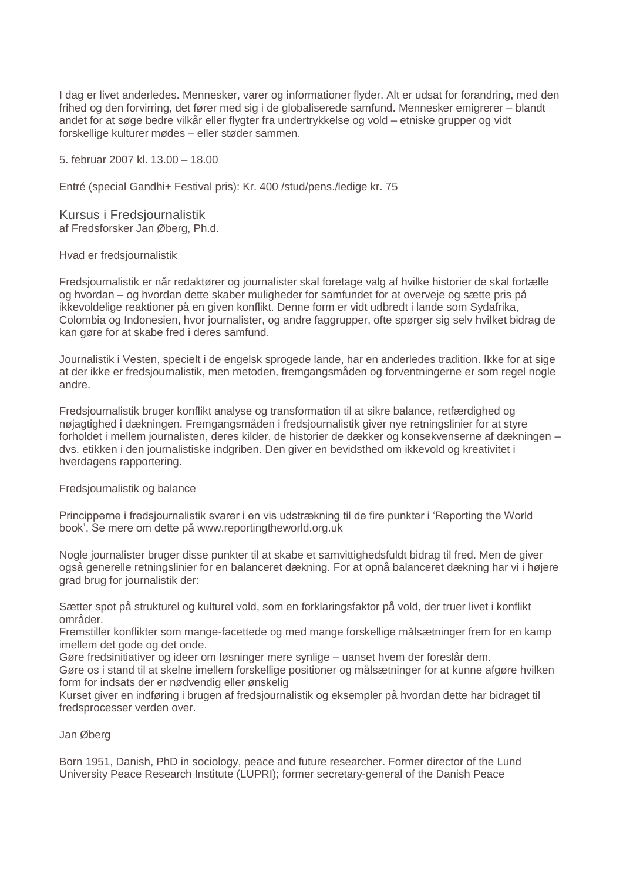I dag er livet anderledes. Mennesker, varer og informationer flyder. Alt er udsat for forandring, med den frihed og den forvirring, det fører med sig i de globaliserede samfund. Mennesker emigrerer – blandt andet for at søge bedre vilkår eller flygter fra undertrykkelse og vold – etniske grupper og vidt forskellige kulturer mødes – eller støder sammen.

5. februar 2007 kl. 13.00 – 18.00

Entré (special Gandhi+ Festival pris): Kr. 400 /stud/pens./ledige kr. 75

Kursus i Fredsjournalistik af Fredsforsker Jan Øberg, Ph.d.

Hvad er fredsjournalistik

Fredsjournalistik er når redaktører og journalister skal foretage valg af hvilke historier de skal fortælle og hvordan – og hvordan dette skaber muligheder for samfundet for at overveje og sætte pris på ikkevoldelige reaktioner på en given konflikt. Denne form er vidt udbredt i lande som Sydafrika, Colombia og Indonesien, hvor journalister, og andre faggrupper, ofte spørger sig selv hvilket bidrag de kan gøre for at skabe fred i deres samfund.

Journalistik i Vesten, specielt i de engelsk sprogede lande, har en anderledes tradition. Ikke for at sige at der ikke er fredsjournalistik, men metoden, fremgangsmåden og forventningerne er som regel nogle andre.

Fredsjournalistik bruger konflikt analyse og transformation til at sikre balance, retfærdighed og nøjagtighed i dækningen. Fremgangsmåden i fredsjournalistik giver nye retningslinier for at styre forholdet i mellem journalisten, deres kilder, de historier de dækker og konsekvenserne af dækningen – dvs. etikken i den journalistiske indgriben. Den giver en bevidsthed om ikkevold og kreativitet i hverdagens rapportering.

Fredsjournalistik og balance

Principperne i fredsjournalistik svarer i en vis udstrækning til de fire punkter i 'Reporting the World book'. Se mere om dette på www.reportingtheworld.org.uk

Nogle journalister bruger disse punkter til at skabe et samvittighedsfuldt bidrag til fred. Men de giver også generelle retningslinier for en balanceret dækning. For at opnå balanceret dækning har vi i højere grad brug for journalistik der:

Sætter spot på strukturel og kulturel vold, som en forklaringsfaktor på vold, der truer livet i konflikt områder.

Fremstiller konflikter som mange-facettede og med mange forskellige målsætninger frem for en kamp imellem det gode og det onde.

Gøre fredsinitiativer og ideer om løsninger mere synlige – uanset hvem der foreslår dem.

Gøre os i stand til at skelne imellem forskellige positioner og målsætninger for at kunne afgøre hvilken form for indsats der er nødvendig eller ønskelig

Kurset giver en indføring i brugen af fredsjournalistik og eksempler på hvordan dette har bidraget til fredsprocesser verden over.

Jan Øberg

Born 1951, Danish, PhD in sociology, peace and future researcher. Former director of the Lund University Peace Research Institute (LUPRI); former secretary-general of the Danish Peace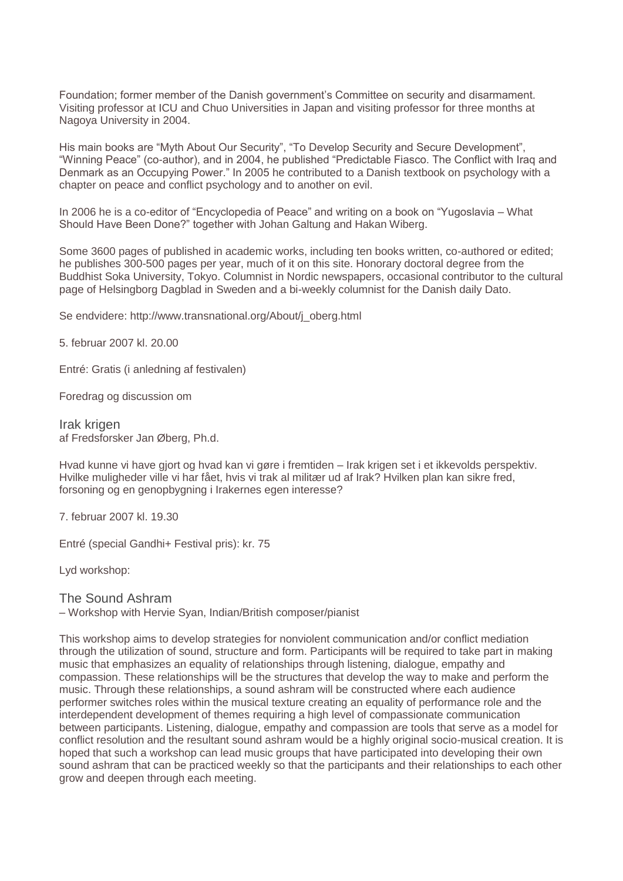Foundation; former member of the Danish government's Committee on security and disarmament. Visiting professor at ICU and Chuo Universities in Japan and visiting professor for three months at Nagoya University in 2004.

His main books are "Myth About Our Security", "To Develop Security and Secure Development", "Winning Peace" (co-author), and in 2004, he published "Predictable Fiasco. The Conflict with Iraq and Denmark as an Occupying Power." In 2005 he contributed to a Danish textbook on psychology with a chapter on peace and conflict psychology and to another on evil.

In 2006 he is a co-editor of "Encyclopedia of Peace" and writing on a book on "Yugoslavia – What Should Have Been Done?" together with Johan Galtung and Hakan Wiberg.

Some 3600 pages of published in academic works, including ten books written, co-authored or edited; he publishes 300-500 pages per year, much of it on this site. Honorary doctoral degree from the Buddhist Soka University, Tokyo. Columnist in Nordic newspapers, occasional contributor to the cultural page of Helsingborg Dagblad in Sweden and a bi-weekly columnist for the Danish daily Dato.

Se endvidere: http://www.transnational.org/About/j\_oberg.html

5. februar 2007 kl. 20.00

Entré: Gratis (i anledning af festivalen)

Foredrag og discussion om

Irak krigen af Fredsforsker Jan Øberg, Ph.d.

Hvad kunne vi have gjort og hvad kan vi gøre i fremtiden – Irak krigen set i et ikkevolds perspektiv. Hvilke muligheder ville vi har fået, hvis vi trak al militær ud af Irak? Hvilken plan kan sikre fred, forsoning og en genopbygning i Irakernes egen interesse?

7. februar 2007 kl. 19.30

Entré (special Gandhi+ Festival pris): kr. 75

Lyd workshop:

The Sound Ashram – Workshop with Hervie Syan, Indian/British composer/pianist

This workshop aims to develop strategies for nonviolent communication and/or conflict mediation through the utilization of sound, structure and form. Participants will be required to take part in making music that emphasizes an equality of relationships through listening, dialogue, empathy and compassion. These relationships will be the structures that develop the way to make and perform the music. Through these relationships, a sound ashram will be constructed where each audience performer switches roles within the musical texture creating an equality of performance role and the interdependent development of themes requiring a high level of compassionate communication between participants. Listening, dialogue, empathy and compassion are tools that serve as a model for conflict resolution and the resultant sound ashram would be a highly original socio-musical creation. It is hoped that such a workshop can lead music groups that have participated into developing their own sound ashram that can be practiced weekly so that the participants and their relationships to each other grow and deepen through each meeting.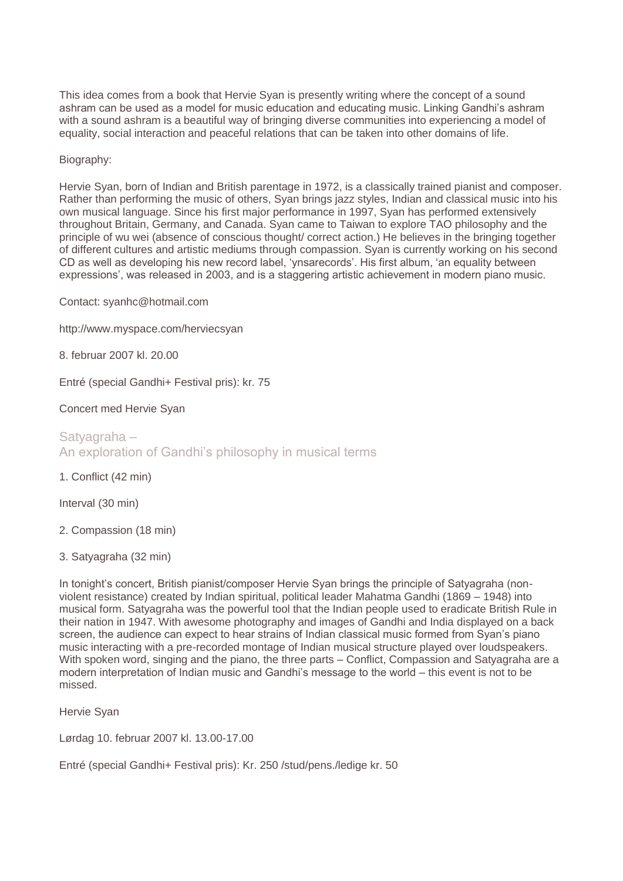This idea comes from a book that Hervie Syan is presently writing where the concept of a sound ashram can be used as a model for music education and educating music. Linking Gandhi's ashram with a sound ashram is a beautiful way of bringing diverse communities into experiencing a model of equality, social interaction and peaceful relations that can be taken into other domains of life.

## Biography:

Hervie Syan, born of Indian and British parentage in 1972, is a classically trained pianist and composer. Rather than performing the music of others, Syan brings jazz styles, Indian and classical music into his own musical language. Since his first major performance in 1997, Syan has performed extensively throughout Britain, Germany, and Canada. Syan came to Taiwan to explore TAO philosophy and the principle of wu wei (absence of conscious thought/ correct action.) He believes in the bringing together of different cultures and artistic mediums through compassion. Syan is currently working on his second CD as well as developing his new record label, 'ynsarecords'. His first album, 'an equality between expressions', was released in 2003, and is a staggering artistic achievement in modern piano music.

Contact: syanhc@hotmail.com

http://www.myspace.com/herviecsyan

8. februar 2007 kl. 20.00

Entré (special Gandhi+ Festival pris): kr. 75

Concert med Hervie Syan

# Satyagraha – An exploration of Gandhi's philosophy in musical terms

1. Conflict (42 min)

Interval (30 min)

2. Compassion (18 min)

3. Satyagraha (32 min)

In tonight's concert, British pianist/composer Hervie Syan brings the principle of Satyagraha (nonviolent resistance) created by Indian spiritual, political leader Mahatma Gandhi (1869 – 1948) into musical form. Satyagraha was the powerful tool that the Indian people used to eradicate British Rule in their nation in 1947. With awesome photography and images of Gandhi and India displayed on a back screen, the audience can expect to hear strains of Indian classical music formed from Syan's piano music interacting with a pre-recorded montage of Indian musical structure played over loudspeakers. With spoken word, singing and the piano, the three parts – Conflict, Compassion and Satyagraha are a modern interpretation of Indian music and Gandhi's message to the world – this event is not to be missed.

Hervie Syan

Lørdag 10. februar 2007 kl. 13.00-17.00

Entré (special Gandhi+ Festival pris): Kr. 250 /stud/pens./ledige kr. 50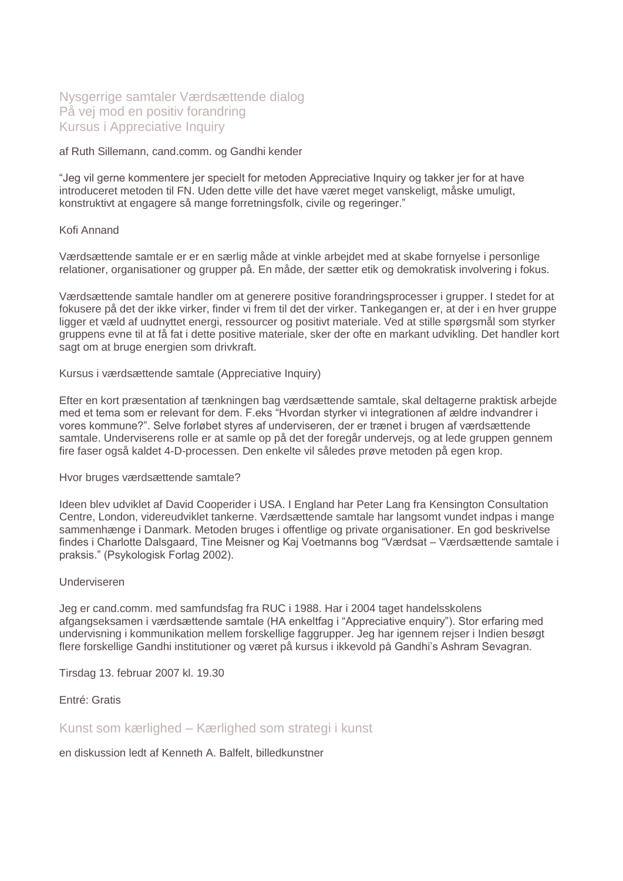# Nysgerrige samtaler Værdsættende dialog På vej mod en positiv forandring Kursus i Appreciative Inquiry

af Ruth Sillemann, cand.comm. og Gandhi kender

"Jeg vil gerne kommentere jer specielt for metoden Appreciative Inquiry og takker jer for at have introduceret metoden til FN. Uden dette ville det have været meget vanskeligt, måske umuligt, konstruktivt at engagere så mange forretningsfolk, civile og regeringer."

### Kofi Annand

Værdsættende samtale er er en særlig måde at vinkle arbejdet med at skabe fornyelse i personlige relationer, organisationer og grupper på. En måde, der sætter etik og demokratisk involvering i fokus.

Værdsættende samtale handler om at generere positive forandringsprocesser i grupper. I stedet for at fokusere på det der ikke virker, finder vi frem til det der virker. Tankegangen er, at der i en hver gruppe ligger et væld af uudnyttet energi, ressourcer og positivt materiale. Ved at stille spørgsmål som styrker gruppens evne til at få fat i dette positive materiale, sker der ofte en markant udvikling. Det handler kort sagt om at bruge energien som drivkraft.

Kursus i værdsættende samtale (Appreciative Inquiry)

Efter en kort præsentation af tænkningen bag værdsættende samtale, skal deltagerne praktisk arbejde med et tema som er relevant for dem. F.eks "Hvordan styrker vi integrationen af ældre indvandrer i vores kommune?". Selve forløbet styres af underviseren, der er trænet i brugen af værdsættende samtale. Underviserens rolle er at samle op på det der foregår undervejs, og at lede gruppen gennem fire faser også kaldet 4-D-processen. Den enkelte vil således prøve metoden på egen krop.

#### Hvor bruges værdsættende samtale?

Ideen blev udviklet af David Cooperider i USA. I England har Peter Lang fra Kensington Consultation Centre, London, videreudviklet tankerne. Værdsættende samtale har langsomt vundet indpas i mange sammenhænge i Danmark. Metoden bruges i offentlige og private organisationer. En god beskrivelse findes i Charlotte Dalsgaard, Tine Meisner og Kaj Voetmanns bog "Værdsat – Værdsættende samtale i praksis." (Psykologisk Forlag 2002).

#### Underviseren

Jeg er cand.comm. med samfundsfag fra RUC i 1988. Har i 2004 taget handelsskolens afgangseksamen i værdsættende samtale (HA enkeltfag i "Appreciative enquiry"). Stor erfaring med undervisning i kommunikation mellem forskellige faggrupper. Jeg har igennem rejser i Indien besøgt flere forskellige Gandhi institutioner og været på kursus i ikkevold på Gandhi's Ashram Sevagran.

Tirsdag 13. februar 2007 kl. 19.30

Entré: Gratis

Kunst som kærlighed – Kærlighed som strategi i kunst

en diskussion ledt af Kenneth A. Balfelt, billedkunstner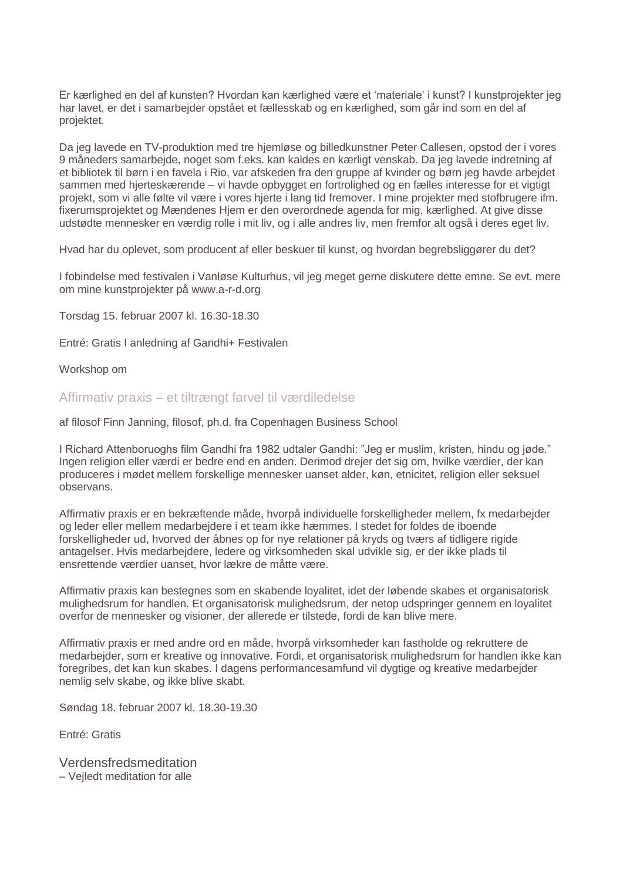Er kærlighed en del af kunsten? Hvordan kan kærlighed være et 'materiale' i kunst? I kunstprojekter jeg har lavet, er det i samarbejder opstået et fællesskab og en kærlighed, som går ind som en del af projektet.

Da jeg lavede en TV-produktion med tre hjemløse og billedkunstner Peter Callesen, opstod der i vores 9 måneders samarbejde, noget som f.eks. kan kaldes en kærligt venskab. Da jeg lavede indretning af et bibliotek til børn i en favela i Rio, var afskeden fra den gruppe af kvinder og børn jeg havde arbejdet sammen med hjerteskærende – vi havde opbygget en fortrolighed og en fælles interesse for et vigtigt projekt, som vi alle følte vil være i vores hjerte i lang tid fremover. I mine projekter med stofbrugere ifm. fixerumsprojektet og Mændenes Hjem er den overordnede agenda for mig, kærlighed. At give disse udstødte mennesker en værdig rolle i mit liv, og i alle andres liv, men fremfor alt også i deres eget liv.

Hvad har du oplevet, som producent af eller beskuer til kunst, og hvordan begrebsliggører du det?

I fobindelse med festivalen i Vanløse Kulturhus, vil jeg meget gerne diskutere dette emne. Se evt. mere om mine kunstprojekter på www.a-r-d.org

Torsdag 15. februar 2007 kl. 16.30-18.30

Entré: Gratis I anledning af Gandhi+ Festivalen

Workshop om

Affirmativ praxis – et tiltrængt farvel til værdiledelse

af filosof Finn Janning, filosof, ph.d. fra Copenhagen Business School

I Richard Attenboruoghs film Gandhi fra 1982 udtaler Gandhi: "Jeg er muslim, kristen, hindu og jøde." Ingen religion eller værdi er bedre end en anden. Derimod drejer det sig om, hvilke værdier, der kan produceres i mødet mellem forskellige mennesker uanset alder, køn, etnicitet, religion eller seksuel observans.

Affirmativ praxis er en bekræftende måde, hvorpå individuelle forskelligheder mellem, fx medarbejder og leder eller mellem medarbejdere i et team ikke hæmmes. I stedet for foldes de iboende forskelligheder ud, hvorved der åbnes op for nye relationer på kryds og tværs af tidligere rigide antagelser. Hvis medarbejdere, ledere og virksomheden skal udvikle sig, er der ikke plads til ensrettende værdier uanset, hvor lækre de måtte være.

Affirmativ praxis kan bestegnes som en skabende loyalitet, idet der løbende skabes et organisatorisk mulighedsrum for handlen. Et organisatorisk mulighedsrum, der netop udspringer gennem en loyalitet overfor de mennesker og visioner, der allerede er tilstede, fordi de kan blive mere.

Affirmativ praxis er med andre ord en måde, hvorpå virksomheder kan fastholde og rekruttere de medarbejder, som er kreative og innovative. Fordi, et organisatorisk mulighedsrum for handlen ikke kan foregribes, det kan kun skabes. I dagens performancesamfund vil dygtige og kreative medarbejder nemlig selv skabe, og ikke blive skabt.

Søndag 18. februar 2007 kl. 18.30-19.30

Entré: Gratis

Verdensfredsmeditation – Vejledt meditation for alle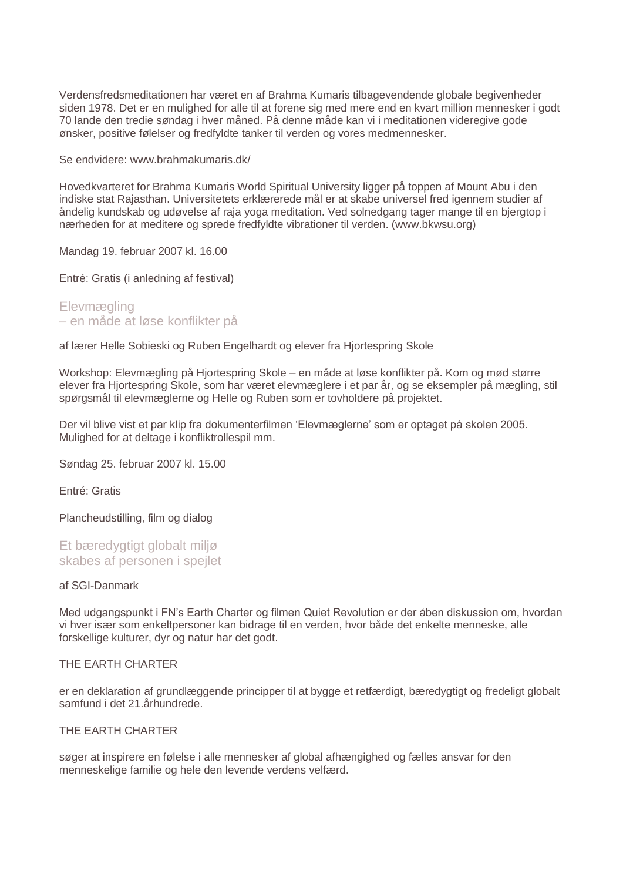Verdensfredsmeditationen har været en af Brahma Kumaris tilbagevendende globale begivenheder siden 1978. Det er en mulighed for alle til at forene sig med mere end en kvart million mennesker i godt 70 lande den tredie søndag i hver måned. På denne måde kan vi i meditationen videregive gode ønsker, positive følelser og fredfyldte tanker til verden og vores medmennesker.

Se endvidere: www.brahmakumaris.dk/

Hovedkvarteret for Brahma Kumaris World Spiritual University ligger på toppen af Mount Abu i den indiske stat Rajasthan. Universitetets erklærerede mål er at skabe universel fred igennem studier af åndelig kundskab og udøvelse af raja yoga meditation. Ved solnedgang tager mange til en bjergtop i nærheden for at meditere og sprede fredfyldte vibrationer til verden. (www.bkwsu.org)

Mandag 19. februar 2007 kl. 16.00

Entré: Gratis (i anledning af festival)

Elevmægling – en måde at løse konflikter på

af lærer Helle Sobieski og Ruben Engelhardt og elever fra Hjortespring Skole

Workshop: Elevmægling på Hjortespring Skole – en måde at løse konflikter på. Kom og mød større elever fra Hjortespring Skole, som har været elevmæglere i et par år, og se eksempler på mægling, stil spørgsmål til elevmæglerne og Helle og Ruben som er tovholdere på projektet.

Der vil blive vist et par klip fra dokumenterfilmen 'Elevmæglerne' som er optaget på skolen 2005. Mulighed for at deltage i konfliktrollespil mm.

Søndag 25. februar 2007 kl. 15.00

Entré: Gratis

Plancheudstilling, film og dialog

Et bæredvatigt globalt miljø skabes af personen i spejlet

#### af SGI-Danmark

Med udgangspunkt i FN's Earth Charter og filmen Quiet Revolution er der åben diskussion om, hvordan vi hver især som enkeltpersoner kan bidrage til en verden, hvor både det enkelte menneske, alle forskellige kulturer, dyr og natur har det godt.

## THE EARTH CHARTER

er en deklaration af grundlæggende principper til at bygge et retfærdigt, bæredygtigt og fredeligt globalt samfund i det 21.århundrede.

# THE EARTH CHARTER

søger at inspirere en følelse i alle mennesker af global afhængighed og fælles ansvar for den menneskelige familie og hele den levende verdens velfærd.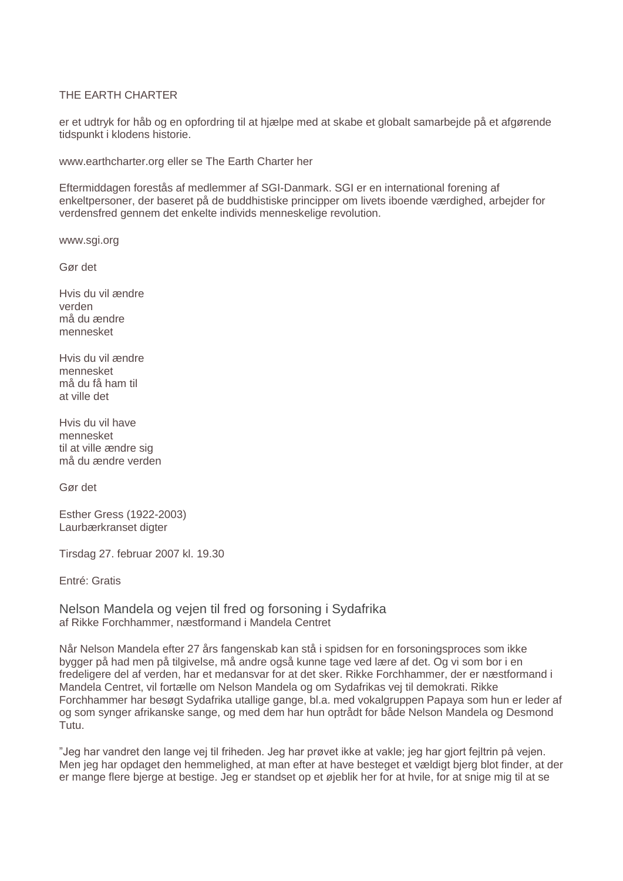# THE EARTH CHARTER

er et udtryk for håb og en opfordring til at hjælpe med at skabe et globalt samarbejde på et afgørende tidspunkt i klodens historie.

www.earthcharter.org eller se The Earth Charter her

Eftermiddagen forestås af medlemmer af SGI-Danmark. SGI er en international forening af enkeltpersoner, der baseret på de buddhistiske principper om livets iboende værdighed, arbejder for verdensfred gennem det enkelte individs menneskelige revolution.

www.sgi.org

Gør det

Hvis du vil ændre verden må du ændre mennesket

Hvis du vil ændre mennesket må du få ham til at ville det

Hvis du vil have mennesket til at ville ændre sig må du ændre verden

Gør det

Esther Gress (1922-2003) Laurbærkranset digter

Tirsdag 27. februar 2007 kl. 19.30

Entré: Gratis

Nelson Mandela og vejen til fred og forsoning i Sydafrika af Rikke Forchhammer, næstformand i Mandela Centret

Når Nelson Mandela efter 27 års fangenskab kan stå i spidsen for en forsoningsproces som ikke bygger på had men på tilgivelse, må andre også kunne tage ved lære af det. Og vi som bor i en fredeligere del af verden, har et medansvar for at det sker. Rikke Forchhammer, der er næstformand i Mandela Centret, vil fortælle om Nelson Mandela og om Sydafrikas vej til demokrati. Rikke Forchhammer har besøgt Sydafrika utallige gange, bl.a. med vokalgruppen Papaya som hun er leder af og som synger afrikanske sange, og med dem har hun optrådt for både Nelson Mandela og Desmond Tutu.

"Jeg har vandret den lange vej til friheden. Jeg har prøvet ikke at vakle; jeg har gjort fejltrin på vejen. Men jeg har opdaget den hemmelighed, at man efter at have besteget et vældigt bjerg blot finder, at der er mange flere bjerge at bestige. Jeg er standset op et øjeblik her for at hvile, for at snige mig til at se